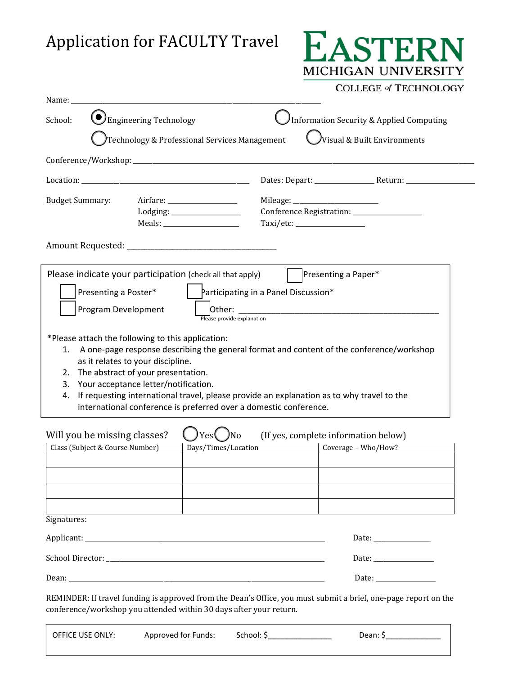## Application for FACULTY Travel



## **COLLEGE of TECHNOLOGY**

| Presenting a Poster*<br>1.                                      | Technology & Professional Services Management<br>Please indicate your participation (check all that apply)<br>Program Development<br>*Please attach the following to this application:<br>as it relates to your discipline. | $\mathcal Y$ isual & Built Environments<br>Taxi/etc: ____________________<br>Presenting a Paper*<br>Participating in a Panel Discussion*<br>Please provide explanation<br>A one-page response describing the general format and content of the conference/workshop |
|-----------------------------------------------------------------|-----------------------------------------------------------------------------------------------------------------------------------------------------------------------------------------------------------------------------|--------------------------------------------------------------------------------------------------------------------------------------------------------------------------------------------------------------------------------------------------------------------|
|                                                                 |                                                                                                                                                                                                                             |                                                                                                                                                                                                                                                                    |
|                                                                 |                                                                                                                                                                                                                             |                                                                                                                                                                                                                                                                    |
| <b>Budget Summary:</b>                                          |                                                                                                                                                                                                                             |                                                                                                                                                                                                                                                                    |
|                                                                 |                                                                                                                                                                                                                             |                                                                                                                                                                                                                                                                    |
|                                                                 |                                                                                                                                                                                                                             |                                                                                                                                                                                                                                                                    |
|                                                                 |                                                                                                                                                                                                                             |                                                                                                                                                                                                                                                                    |
|                                                                 |                                                                                                                                                                                                                             |                                                                                                                                                                                                                                                                    |
| 2.<br>3.<br>4.                                                  | The abstract of your presentation.<br>Your acceptance letter/notification.                                                                                                                                                  | If requesting international travel, please provide an explanation as to why travel to the<br>international conference is preferred over a domestic conference.                                                                                                     |
| Will you be missing classes?<br>Class (Subject & Course Number) | Yesl                                                                                                                                                                                                                        | (If yes, complete information below)<br>No<br>Coverage - Who/How?<br>Days/Times/Location                                                                                                                                                                           |
|                                                                 |                                                                                                                                                                                                                             |                                                                                                                                                                                                                                                                    |
|                                                                 |                                                                                                                                                                                                                             |                                                                                                                                                                                                                                                                    |
| Signatures:                                                     |                                                                                                                                                                                                                             |                                                                                                                                                                                                                                                                    |
|                                                                 |                                                                                                                                                                                                                             |                                                                                                                                                                                                                                                                    |
|                                                                 |                                                                                                                                                                                                                             |                                                                                                                                                                                                                                                                    |
|                                                                 |                                                                                                                                                                                                                             |                                                                                                                                                                                                                                                                    |

| OFFICE USE ONLY: | Approved for Funds: | School: S | Dean: S |
|------------------|---------------------|-----------|---------|
|                  |                     |           |         |